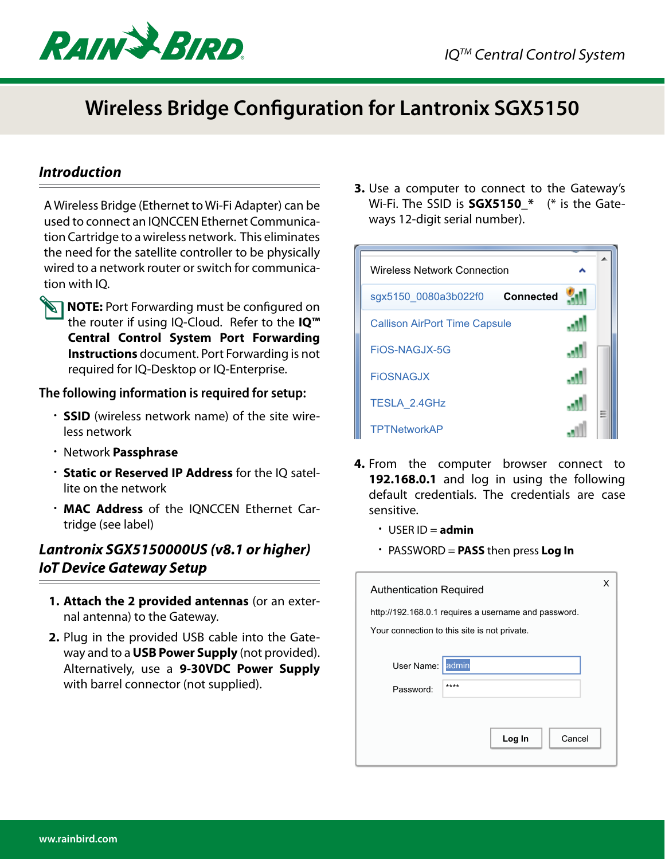

## **Wireless Bridge Configuration for Lantronix SGX5150**

## *Introduction*

A Wireless Bridge (Ethernet to Wi-Fi Adapter) can be used to connect an IQNCCEN Ethernet Communication Cartridge to a wireless network. This eliminates the need for the satellite controller to be physically wired to a network router or switch for communication with IQ.



**NOTE:** Port Forwarding must be configured on the router if using IQ-Cloud. Refer to the **IQ™ Central Control System Port Forwarding Instructions** document. Port Forwarding is not required for IQ-Desktop or IQ-Enterprise.

## **The following information is required for setup:**

- **SSID** (wireless network name) of the site wireless network
- Network **Passphrase**
- **Static or Reserved IP Address** for the IQ satellite on the network
- **MAC Address** of the IQNCCEN Ethernet Cartridge (see label)

## *Lantronix SGX5150000US (v8.1 or higher) IoT Device Gateway Setup*

- **1. Attach the 2 provided antennas** (or an external antenna) to the Gateway.
- **2.** Plug in the provided USB cable into the Gateway and to a **USB Power Supply** (not provided). Alternatively, use a **9-30VDC Power Supply** with barrel connector (not supplied).

**3.** Use a computer to connect to the Gateway's Wi-Fi. The SSID is **SGX5150\_\*** (\* is the Gateways 12-digit serial number).

| <b>Wireless Network Connection</b>       |   |
|------------------------------------------|---|
| <b>Connected</b><br>sgx5150 0080a3b022f0 |   |
| <b>Callison AirPort Time Capsule</b>     |   |
| FIOS-NAGJX-5G                            |   |
| <b>FIOSNAGJX</b>                         |   |
| <b>TESLA 2.4GHz</b>                      | Ξ |
| <b>TPTNetworkAP</b>                      |   |

- **4.** From the computer browser connect to 192.168.0.1 and log in using the following sensitive. default credentials. The credentials are case
	- USER ID = **admin**
	- PASSWORD = **PASS** then press **Log In**

| <b>Authentication Required</b>                       |        | x      |
|------------------------------------------------------|--------|--------|
| http://192.168.0.1 requires a username and password. |        |        |
| Your connection to this site is not private.         |        |        |
| admin<br>User Name:<br>****<br>Password:             |        |        |
|                                                      | Log In | Cancel |